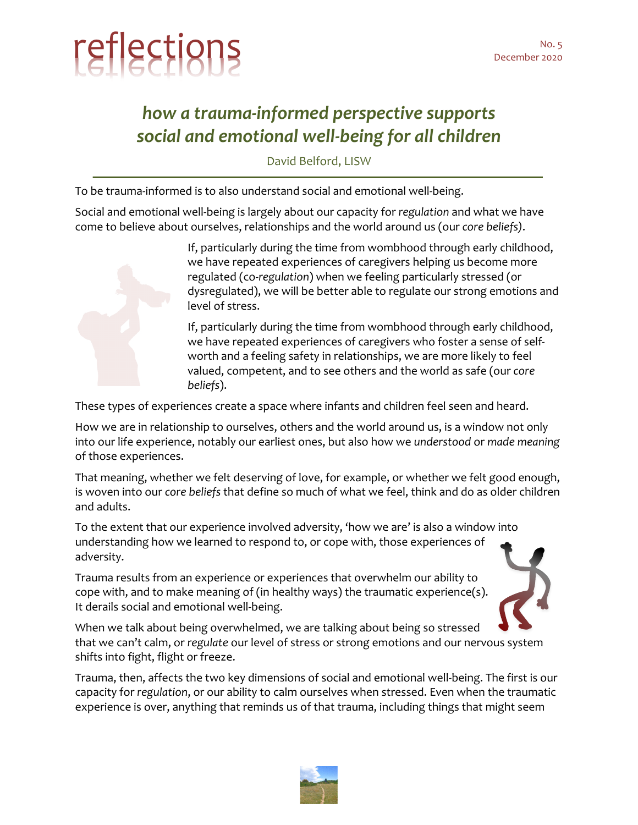

## *how a trauma-informed perspective supports social and emotional well-being for all children*

David Belford, LISW

To be trauma-informed is to also understand social and emotional well-being.

Social and emotional well-being is largely about our capacity for *regulation* and what we have come to believe about ourselves, relationships and the world around us (our *core beliefs)*.



If, particularly during the time from wombhood through early childhood, we have repeated experiences of caregivers helping us become more regulated (co-*regulation*) when we feeling particularly stressed (or dysregulated), we will be better able to regulate our strong emotions and level of stress.

If, particularly during the time from wombhood through early childhood, we have repeated experiences of caregivers who foster a sense of selfworth and a feeling safety in relationships, we are more likely to feel valued, competent, and to see others and the world as safe (our *core beliefs*).

These types of experiences create a space where infants and children feel seen and heard.

How we are in relationship to ourselves, others and the world around us, is a window not only into our life experience, notably our earliest ones, but also how we *understood* or *made meaning* of those experiences.

That meaning, whether we felt deserving of love, for example, or whether we felt good enough, is woven into our *core beliefs* that define so much of what we feel, think and do as older children and adults.

To the extent that our experience involved adversity, 'how we are' is also a window into understanding how we learned to respond to, or cope with, those experiences of adversity.

Trauma results from an experience or experiences that overwhelm our ability to cope with, and to make meaning of (in healthy ways) the traumatic experience(s). It derails social and emotional well-being.



When we talk about being overwhelmed, we are talking about being so stressed that we can't calm, or *regulate* our level of stress or strong emotions and our nervous system shifts into fight, flight or freeze.

Trauma, then, affects the two key dimensions of social and emotional well-being. The first is our capacity for *regulation*, or our ability to calm ourselves when stressed. Even when the traumatic experience is over, anything that reminds us of that trauma, including things that might seem

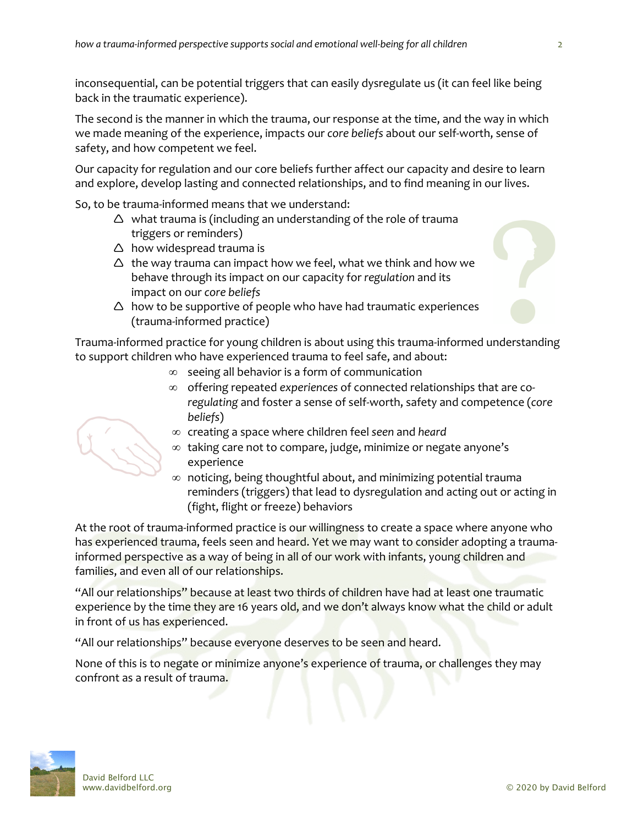inconsequential, can be potential triggers that can easily dysregulate us (it can feel like being back in the traumatic experience).

The second is the manner in which the trauma, our response at the time, and the way in which we made meaning of the experience, impacts our *core beliefs* about our self-worth, sense of safety, and how competent we feel.

Our capacity for regulation and our core beliefs further affect our capacity and desire to learn and explore, develop lasting and connected relationships, and to find meaning in our lives.

So, to be trauma-informed means that we understand:

- $\triangle$  what trauma is (including an understanding of the role of trauma triggers or reminders)
- $\triangle$  how widespread trauma is
- $\triangle$  the way trauma can impact how we feel, what we think and how we behave through its impact on our capacity for *regulation* and its impact on our *core beliefs*
- $\triangle$  how to be supportive of people who have had traumatic experiences (trauma-informed practice)

Trauma-informed practice for young children is about using this trauma-informed understanding to support children who have experienced trauma to feel safe, and about:

- $\infty$  seeing all behavior is a form of communication
- ∞ offering repeated *experiences* of connected relationships that are co*regulating* and foster a sense of self-worth, safety and competence (*core beliefs*)
	- ¥ creating a space where children feel *seen* and *heard*
	- $\infty$  taking care not to compare, judge, minimize or negate anyone's experience
- $\infty$  noticing, being thoughtful about, and minimizing potential trauma reminders (triggers) that lead to dysregulation and acting out or acting in (fight, flight or freeze) behaviors

At the root of trauma-informed practice is our willingness to create a space where anyone who has experienced trauma, feels seen and heard. Yet we may want to consider adopting a traumainformed perspective as a way of being in all of our work with infants, young children and families, and even all of our relationships.

"All our relationships" because at least two thirds of children have had at least one traumatic experience by the time they are 16 years old, and we don't always know what the child or adult in front of us has experienced.

"All our relationships" because everyone deserves to be seen and heard.

None of this is to negate or minimize anyone's experience of trauma, or challenges they may confront as a result of trauma.